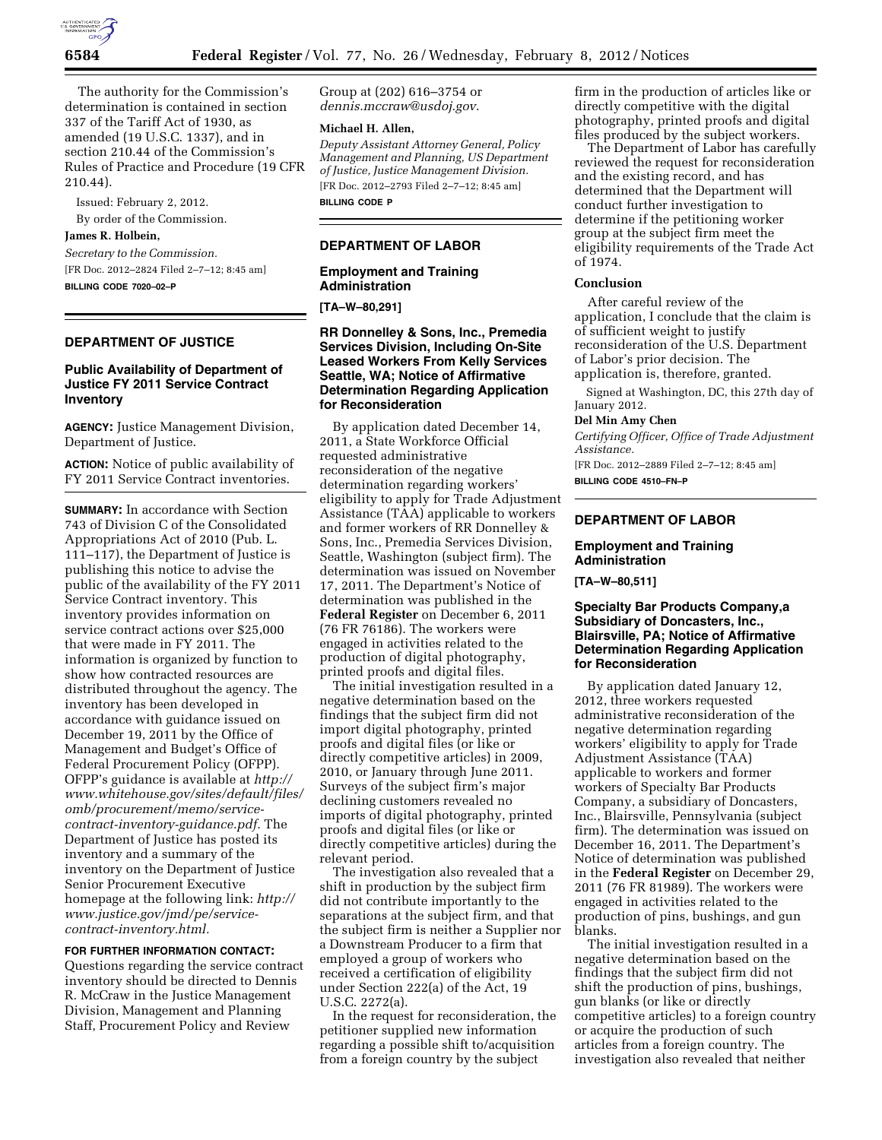

The authority for the Commission's determination is contained in section 337 of the Tariff Act of 1930, as amended (19 U.S.C. 1337), and in section 210.44 of the Commission's Rules of Practice and Procedure (19 CFR 210.44).

Issued: February 2, 2012. By order of the Commission.

#### **James R. Holbein,**

*Secretary to the Commission.*  [FR Doc. 2012–2824 Filed 2–7–12; 8:45 am] **BILLING CODE 7020–02–P** 

# **DEPARTMENT OF JUSTICE**

# **Public Availability of Department of Justice FY 2011 Service Contract Inventory**

**AGENCY:** Justice Management Division, Department of Justice.

**ACTION:** Notice of public availability of FY 2011 Service Contract inventories.

**SUMMARY:** In accordance with Section 743 of Division C of the Consolidated Appropriations Act of 2010 (Pub. L. 111–117), the Department of Justice is publishing this notice to advise the public of the availability of the FY 2011 Service Contract inventory. This inventory provides information on service contract actions over \$25,000 that were made in FY 2011. The information is organized by function to show how contracted resources are distributed throughout the agency. The inventory has been developed in accordance with guidance issued on December 19, 2011 by the Office of Management and Budget's Office of Federal Procurement Policy (OFPP). OFPP's guidance is available at *[http://](http://www.whitehouse.gov/sites/default/files/omb/procurement/memo/service-contract-inventory-guidance.pdf)  [www.whitehouse.gov/sites/default/files/](http://www.whitehouse.gov/sites/default/files/omb/procurement/memo/service-contract-inventory-guidance.pdf)  [omb/procurement/memo/service](http://www.whitehouse.gov/sites/default/files/omb/procurement/memo/service-contract-inventory-guidance.pdf)[contract-inventory-guidance.pdf.](http://www.whitehouse.gov/sites/default/files/omb/procurement/memo/service-contract-inventory-guidance.pdf)* The Department of Justice has posted its inventory and a summary of the inventory on the Department of Justice Senior Procurement Executive homepage at the following link: *[http://](http://www.justice.gov/jmd/pe/service-contract-inventory.html)  [www.justice.gov/jmd/pe/service](http://www.justice.gov/jmd/pe/service-contract-inventory.html)[contract-inventory.html.](http://www.justice.gov/jmd/pe/service-contract-inventory.html)* 

# **FOR FURTHER INFORMATION CONTACT:**

Questions regarding the service contract inventory should be directed to Dennis R. McCraw in the Justice Management Division, Management and Planning Staff, Procurement Policy and Review

Group at (202) 616–3754 or *[dennis.mccraw@usdoj.gov](mailto:dennis.mccraw@usdoj.gov)*.

#### **Michael H. Allen,**

*Deputy Assistant Attorney General, Policy Management and Planning, US Department of Justice, Justice Management Division.*  [FR Doc. 2012–2793 Filed 2–7–12; 8:45 am]

**BILLING CODE P** 

# **DEPARTMENT OF LABOR**

#### **Employment and Training Administration**

**[TA–W–80,291]** 

### **RR Donnelley & Sons, Inc., Premedia Services Division, Including On-Site Leased Workers From Kelly Services Seattle, WA; Notice of Affirmative Determination Regarding Application for Reconsideration**

By application dated December 14, 2011, a State Workforce Official requested administrative reconsideration of the negative determination regarding workers' eligibility to apply for Trade Adjustment Assistance (TAA) applicable to workers and former workers of RR Donnelley & Sons, Inc., Premedia Services Division, Seattle, Washington (subject firm). The determination was issued on November 17, 2011. The Department's Notice of determination was published in the **Federal Register** on December 6, 2011 (76 FR 76186). The workers were engaged in activities related to the production of digital photography, printed proofs and digital files.

The initial investigation resulted in a negative determination based on the findings that the subject firm did not import digital photography, printed proofs and digital files (or like or directly competitive articles) in 2009, 2010, or January through June 2011. Surveys of the subject firm's major declining customers revealed no imports of digital photography, printed proofs and digital files (or like or directly competitive articles) during the relevant period.

The investigation also revealed that a shift in production by the subject firm did not contribute importantly to the separations at the subject firm, and that the subject firm is neither a Supplier nor a Downstream Producer to a firm that employed a group of workers who received a certification of eligibility under Section 222(a) of the Act, 19 U.S.C. 2272(a).

In the request for reconsideration, the petitioner supplied new information regarding a possible shift to/acquisition from a foreign country by the subject

firm in the production of articles like or directly competitive with the digital photography, printed proofs and digital files produced by the subject workers.

The Department of Labor has carefully reviewed the request for reconsideration and the existing record, and has determined that the Department will conduct further investigation to determine if the petitioning worker group at the subject firm meet the eligibility requirements of the Trade Act of 1974.

### **Conclusion**

After careful review of the application, I conclude that the claim is of sufficient weight to justify reconsideration of the U.S. Department of Labor's prior decision. The application is, therefore, granted.

Signed at Washington, DC, this 27th day of January 2012.

#### **Del Min Amy Chen**

*Certifying Officer, Office of Trade Adjustment Assistance.* 

[FR Doc. 2012–2889 Filed 2–7–12; 8:45 am] **BILLING CODE 4510–FN–P** 

### **DEPARTMENT OF LABOR**

### **Employment and Training Administration**

**[TA–W–80,511]** 

### **Specialty Bar Products Company,a Subsidiary of Doncasters, Inc., Blairsville, PA; Notice of Affirmative Determination Regarding Application for Reconsideration**

By application dated January 12, 2012, three workers requested administrative reconsideration of the negative determination regarding workers' eligibility to apply for Trade Adjustment Assistance (TAA) applicable to workers and former workers of Specialty Bar Products Company, a subsidiary of Doncasters, Inc., Blairsville, Pennsylvania (subject firm). The determination was issued on December 16, 2011. The Department's Notice of determination was published in the **Federal Register** on December 29, 2011 (76 FR 81989). The workers were engaged in activities related to the production of pins, bushings, and gun blanks.

The initial investigation resulted in a negative determination based on the findings that the subject firm did not shift the production of pins, bushings, gun blanks (or like or directly competitive articles) to a foreign country or acquire the production of such articles from a foreign country. The investigation also revealed that neither